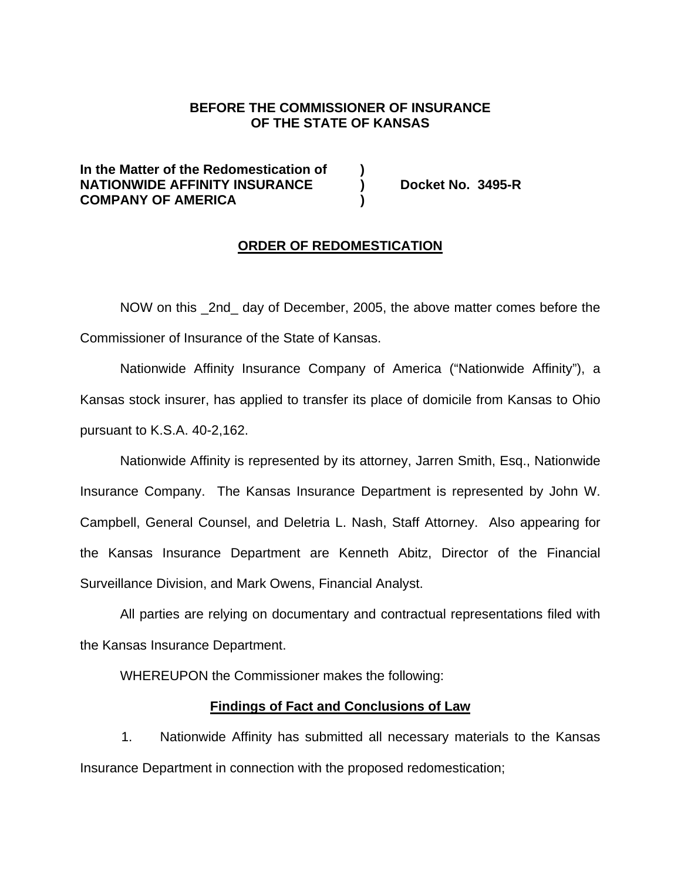# **BEFORE THE COMMISSIONER OF INSURANCE OF THE STATE OF KANSAS**

**In the Matter of the Redomestication of ) NATIONWIDE AFFINITY INSURANCE ) Docket No. 3495-R COMPANY OF AMERICA )** 

### **ORDER OF REDOMESTICATION**

NOW on this 2nd day of December, 2005, the above matter comes before the Commissioner of Insurance of the State of Kansas.

Nationwide Affinity Insurance Company of America ("Nationwide Affinity"), a Kansas stock insurer, has applied to transfer its place of domicile from Kansas to Ohio pursuant to K.S.A. 40-2,162.

Nationwide Affinity is represented by its attorney, Jarren Smith, Esq., Nationwide Insurance Company. The Kansas Insurance Department is represented by John W. Campbell, General Counsel, and Deletria L. Nash, Staff Attorney. Also appearing for the Kansas Insurance Department are Kenneth Abitz, Director of the Financial Surveillance Division, and Mark Owens, Financial Analyst.

All parties are relying on documentary and contractual representations filed with the Kansas Insurance Department.

WHEREUPON the Commissioner makes the following:

#### **Findings of Fact and Conclusions of Law**

1. Nationwide Affinity has submitted all necessary materials to the Kansas Insurance Department in connection with the proposed redomestication;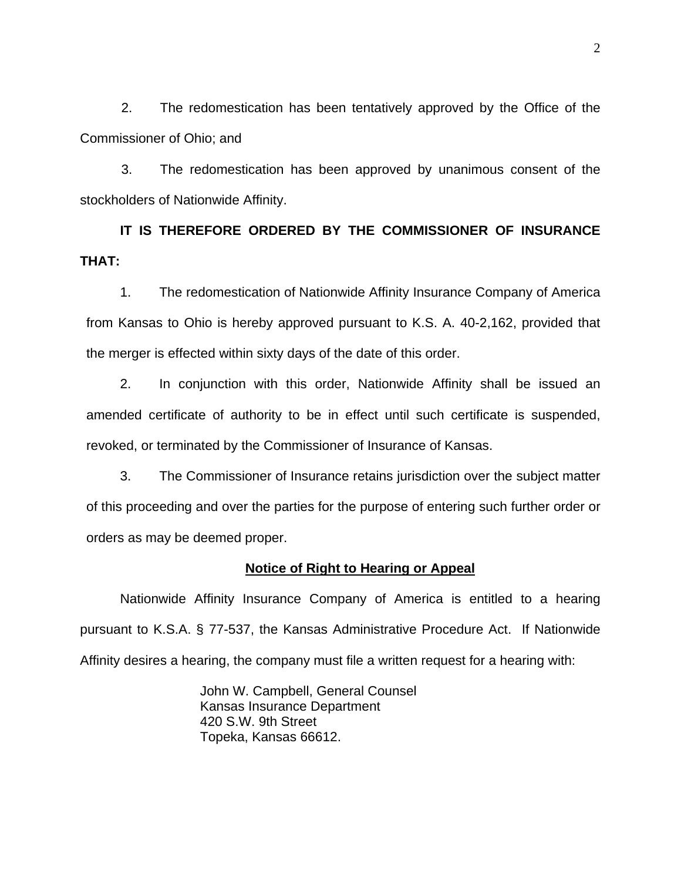2. The redomestication has been tentatively approved by the Office of the Commissioner of Ohio; and

3. The redomestication has been approved by unanimous consent of the stockholders of Nationwide Affinity.

**IT IS THEREFORE ORDERED BY THE COMMISSIONER OF INSURANCE THAT:** 

1. The redomestication of Nationwide Affinity Insurance Company of America from Kansas to Ohio is hereby approved pursuant to K.S. A. 40-2,162, provided that the merger is effected within sixty days of the date of this order.

2. In conjunction with this order, Nationwide Affinity shall be issued an amended certificate of authority to be in effect until such certificate is suspended, revoked, or terminated by the Commissioner of Insurance of Kansas.

3. The Commissioner of Insurance retains jurisdiction over the subject matter of this proceeding and over the parties for the purpose of entering such further order or orders as may be deemed proper.

# **Notice of Right to Hearing or Appeal**

Nationwide Affinity Insurance Company of America is entitled to a hearing pursuant to K.S.A. § 77-537, the Kansas Administrative Procedure Act. If Nationwide Affinity desires a hearing, the company must file a written request for a hearing with:

> John W. Campbell, General Counsel Kansas Insurance Department 420 S.W. 9th Street Topeka, Kansas 66612.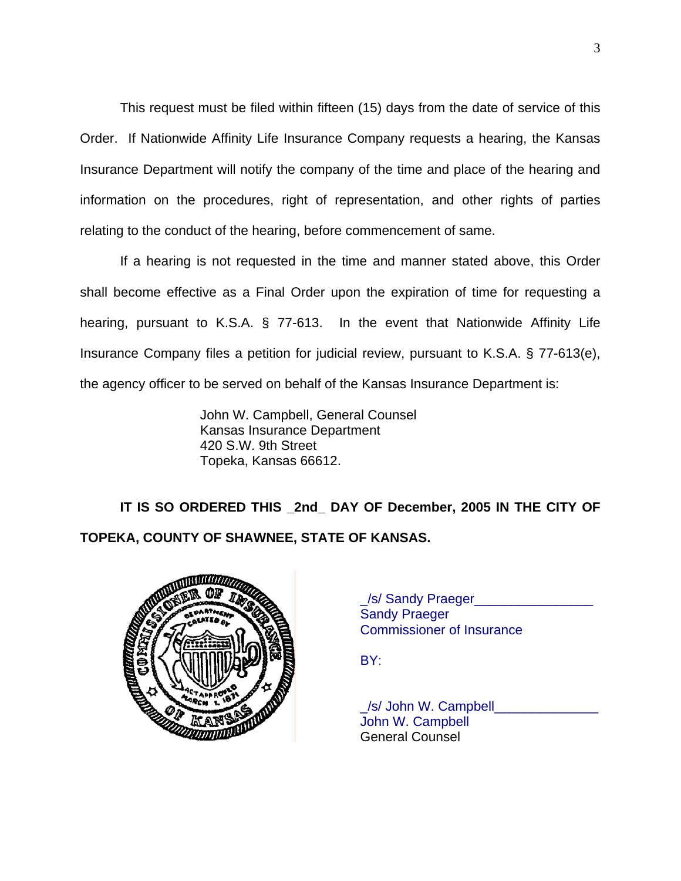This request must be filed within fifteen (15) days from the date of service of this Order. If Nationwide Affinity Life Insurance Company requests a hearing, the Kansas Insurance Department will notify the company of the time and place of the hearing and information on the procedures, right of representation, and other rights of parties relating to the conduct of the hearing, before commencement of same.

If a hearing is not requested in the time and manner stated above, this Order shall become effective as a Final Order upon the expiration of time for requesting a hearing, pursuant to K.S.A. § 77-613. In the event that Nationwide Affinity Life Insurance Company files a petition for judicial review, pursuant to K.S.A. § 77-613(e), the agency officer to be served on behalf of the Kansas Insurance Department is:

> John W. Campbell, General Counsel Kansas Insurance Department 420 S.W. 9th Street Topeka, Kansas 66612.

**IT IS SO ORDERED THIS \_2nd\_ DAY OF December, 2005 IN THE CITY OF TOPEKA, COUNTY OF SHAWNEE, STATE OF KANSAS.** 



| <b>WATER</b>  | /s/ Sandy Praeger                |
|---------------|----------------------------------|
| . WHE         | <b>Sandy Praeger</b>             |
| <b>OLPART</b> | <b>Commissioner of Insurance</b> |
|               |                                  |

BY:

\_/s/ John W. Campbell\_\_\_\_\_\_\_\_\_\_\_\_\_\_ John W. Campbell General Counsel